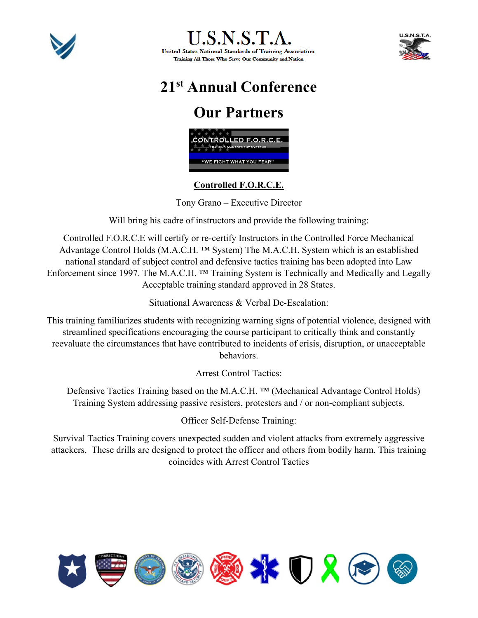





# **21st Annual Conference**

## **Our Partners**



### **Controlled F.O.R.C.E.**

Tony Grano – Executive Director

Will bring his cadre of instructors and provide the following training:

Controlled F.O.R.C.E will certify or re-certify Instructors in the Controlled Force Mechanical Advantage Control Holds (M.A.C.H. ™ System) The M.A.C.H. System which is an established national standard of subject control and defensive tactics training has been adopted into Law Enforcement since 1997. The M.A.C.H. ™ Training System is Technically and Medically and Legally Acceptable training standard approved in 28 States.

Situational Awareness & Verbal De-Escalation:

This training familiarizes students with recognizing warning signs of potential violence, designed with streamlined specifications encouraging the course participant to critically think and constantly reevaluate the circumstances that have contributed to incidents of crisis, disruption, or unacceptable behaviors.

Arrest Control Tactics:

Defensive Tactics Training based on the M.A.C.H. <sup>™</sup> (Mechanical Advantage Control Holds) Training System addressing passive resisters, protesters and / or non-compliant subjects.

Officer Self-Defense Training:

Survival Tactics Training covers unexpected sudden and violent attacks from extremely aggressive attackers. These drills are designed to protect the officer and others from bodily harm. This training coincides with Arrest Control Tactics

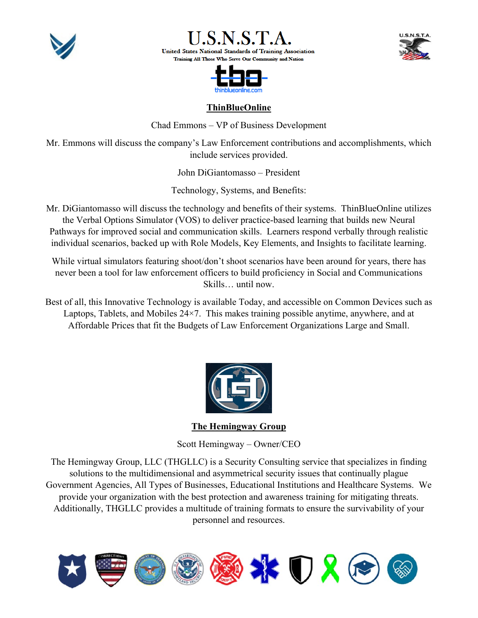







#### **ThinBlueOnline**

Chad Emmons – VP of Business Development

Mr. Emmons will discuss the company's Law Enforcement contributions and accomplishments, which include services provided.

John DiGiantomasso – President

Technology, Systems, and Benefits:

Mr. DiGiantomasso will discuss the technology and benefits of their systems. ThinBlueOnline utilizes the Verbal Options Simulator (VOS) to deliver practice-based learning that builds new Neural Pathways for improved social and communication skills. Learners respond verbally through realistic individual scenarios, backed up with Role Models, Key Elements, and Insights to facilitate learning.

While virtual simulators featuring shoot/don't shoot scenarios have been around for years, there has never been a tool for law enforcement officers to build proficiency in Social and Communications Skills… until now.

Best of all, this Innovative Technology is available Today, and accessible on Common Devices such as Laptops, Tablets, and Mobiles 24×7. This makes training possible anytime, anywhere, and at Affordable Prices that fit the Budgets of Law Enforcement Organizations Large and Small.



**The Hemingway Group**

Scott Hemingway – Owner/CEO

The Hemingway Group, LLC (THGLLC) is a Security Consulting service that specializes in finding solutions to the multidimensional and asymmetrical security issues that continually plague Government Agencies, All Types of Businesses, Educational Institutions and Healthcare Systems. We provide your organization with the best protection and awareness training for mitigating threats. Additionally, THGLLC provides a multitude of training formats to ensure the survivability of your personnel and resources.

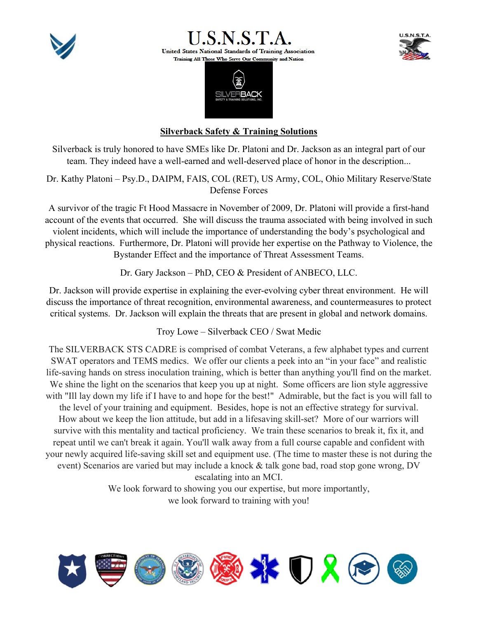







#### **Silverback Safety & Training Solutions**

Silverback is truly honored to have SMEs like Dr. Platoni and Dr. Jackson as an integral part of our team. They indeed have a well-earned and well-deserved place of honor in the description...

Dr. Kathy Platoni – Psy.D., DAIPM, FAIS, COL (RET), US Army, COL, Ohio Military Reserve/State Defense Forces

A survivor of the tragic Ft Hood Massacre in November of 2009, Dr. Platoni will provide a first-hand account of the events that occurred. She will discuss the trauma associated with being involved in such violent incidents, which will include the importance of understanding the body's psychological and

physical reactions. Furthermore, Dr. Platoni will provide her expertise on the Pathway to Violence, the Bystander Effect and the importance of Threat Assessment Teams.

Dr. Gary Jackson – PhD, CEO & President of ANBECO, LLC.

Dr. Jackson will provide expertise in explaining the ever-evolving cyber threat environment. He will discuss the importance of threat recognition, environmental awareness, and countermeasures to protect critical systems. Dr. Jackson will explain the threats that are present in global and network domains.

Troy Lowe – Silverback CEO / Swat Medic

The SILVERBACK STS CADRE is comprised of combat Veterans, a few alphabet types and current SWAT operators and TEMS medics. We offer our clients a peek into an "in your face" and realistic life-saving hands on stress inoculation training, which is better than anything you'll find on the market. We shine the light on the scenarios that keep you up at night. Some officers are lion style aggressive with "Ill lay down my life if I have to and hope for the best!" Admirable, but the fact is you will fall to the level of your training and equipment. Besides, hope is not an effective strategy for survival. How about we keep the lion attitude, but add in a lifesaving skill-set? More of our warriors will survive with this mentality and tactical proficiency. We train these scenarios to break it, fix it, and repeat until we can't break it again. You'll walk away from a full course capable and confident with your newly acquired life-saving skill set and equipment use. (The time to master these is not during the event) Scenarios are varied but may include a knock & talk gone bad, road stop gone wrong, DV escalating into an MCI.

> We look forward to showing you our expertise, but more importantly, we look forward to training with you!